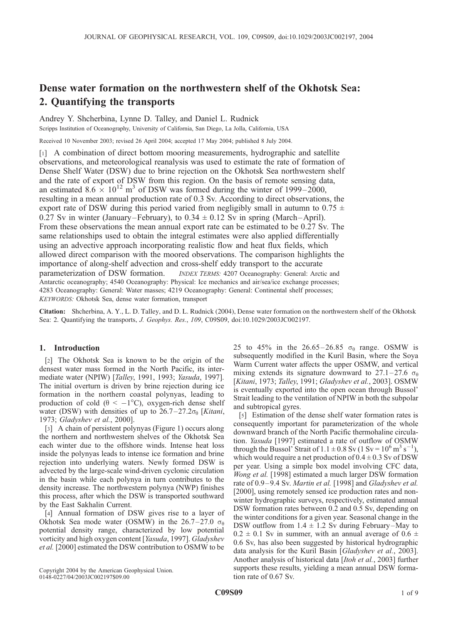# Dense water formation on the northwestern shelf of the Okhotsk Sea: 2. Quantifying the transports

Andrey Y. Shcherbina, Lynne D. Talley, and Daniel L. Rudnick

Scripps Institution of Oceanography, University of California, San Diego, La Jolla, California, USA

Received 10 November 2003; revised 26 April 2004; accepted 17 May 2004; published 8 July 2004.

[1] A combination of direct bottom mooring measurements, hydrographic and satellite observations, and meteorological reanalysis was used to estimate the rate of formation of Dense Shelf Water (DSW) due to brine rejection on the Okhotsk Sea northwestern shelf and the rate of export of DSW from this region. On the basis of remote sensing data, an estimated  $8.6 \times 10^{12}$  m<sup>3</sup> of DSW was formed during the winter of 1999–2000, resulting in a mean annual production rate of 0.3 Sv. According to direct observations, the export rate of DSW during this period varied from negligibly small in autumn to 0.75  $\pm$ 0.27 Sv in winter (January–February), to  $0.34 \pm 0.12$  Sv in spring (March–April). From these observations the mean annual export rate can be estimated to be 0.27 Sv. The same relationships used to obtain the integral estimates were also applied differentially using an advective approach incorporating realistic flow and heat flux fields, which allowed direct comparison with the moored observations. The comparison highlights the importance of along-shelf advection and cross-shelf eddy transport to the accurate parameterization of DSW formation. INDEX TERMS: 4207 Oceanography: General: Arctic and Antarctic oceanography; 4540 Oceanography: Physical: Ice mechanics and air/sea/ice exchange processes; 4283 Oceanography: General: Water masses; 4219 Oceanography: General: Continental shelf processes; KEYWORDS: Okhotsk Sea, dense water formation, transport

Citation: Shcherbina, A. Y., L. D. Talley, and D. L. Rudnick (2004), Dense water formation on the northwestern shelf of the Okhotsk Sea: 2. Quantifying the transports, J. Geophys. Res., 109, C09S09, doi:10.1029/2003JC002197.

## 1. Introduction

[2] The Okhotsk Sea is known to be the origin of the densest water mass formed in the North Pacific, its intermediate water (NPIW) [Talley, 1991, 1993; Yasuda, 1997]. The initial overturn is driven by brine rejection during ice formation in the northern coastal polynyas, leading to production of cold ( $\theta < -1$ °C), oxygen-rich dense shelf water (DSW) with densities of up to  $26.7-27.2\sigma_{\theta}$  [Kitani, 1973; Gladyshev et al., 2000].

[3] A chain of persistent polynyas (Figure 1) occurs along the northern and northwestern shelves of the Okhotsk Sea each winter due to the offshore winds. Intense heat loss inside the polynyas leads to intense ice formation and brine rejection into underlying waters. Newly formed DSW is advected by the large-scale wind-driven cyclonic circulation in the basin while each polynya in turn contributes to the density increase. The northwestern polynya (NWP) finishes this process, after which the DSW is transported southward by the East Sakhalin Current.

[4] Annual formation of DSW gives rise to a layer of Okhotsk Sea mode water (OSMW) in the 26.7–27.0  $\sigma_{\theta}$ potential density range, characterized by low potential vorticity and high oxygen content [Yasuda, 1997]. Gladyshev et al. [2000] estimated the DSW contribution to OSMW to be

Copyright 2004 by the American Geophysical Union. 0148-0227/04/2003JC002197\$09.00

25 to 45% in the 26.65-26.85  $\sigma_{\theta}$  range. OSMW is subsequently modified in the Kuril Basin, where the Soya Warm Current water affects the upper OSMW, and vertical mixing extends its signature downward to 27.1–27.6  $\sigma_{\theta}$ [Kitani, 1973; Talley, 1991; Gladyshev et al., 2003]. OSMW is eventually exported into the open ocean through Bussol' Strait leading to the ventilation of NPIW in both the subpolar and subtropical gyres.

[5] Estimation of the dense shelf water formation rates is consequently important for parameterization of the whole downward branch of the North Pacific thermohaline circulation. Yasuda [1997] estimated a rate of outflow of OSMW through the Bussol' Strait of  $1.1 \pm 0.8$  Sv ( $1 \text{ Sv} = 10^6 \text{ m}^3 \text{ s}^{-1}$ ), which would require a net production of  $0.4 \pm 0.3$  Sv of DSW per year. Using a simple box model involving CFC data, Wong et al. [1998] estimated a much larger DSW formation rate of 0.9–9.4 Sv. Martin et al. [1998] and Gladyshev et al. [2000], using remotely sensed ice production rates and nonwinter hydrographic surveys, respectively, estimated annual DSW formation rates between 0.2 and 0.5 Sv, depending on the winter conditions for a given year. Seasonal change in the DSW outflow from  $1.4 \pm 1.2$  Sv during February–May to  $0.2 \pm 0.1$  Sv in summer, with an annual average of  $0.6 \pm 0.1$ 0.6 Sv, has also been suggested by historical hydrographic data analysis for the Kuril Basin [Gladyshev et al., 2003]. Another analysis of historical data [Itoh et al., 2003] further supports these results, yielding a mean annual DSW formation rate of 0.67 Sv.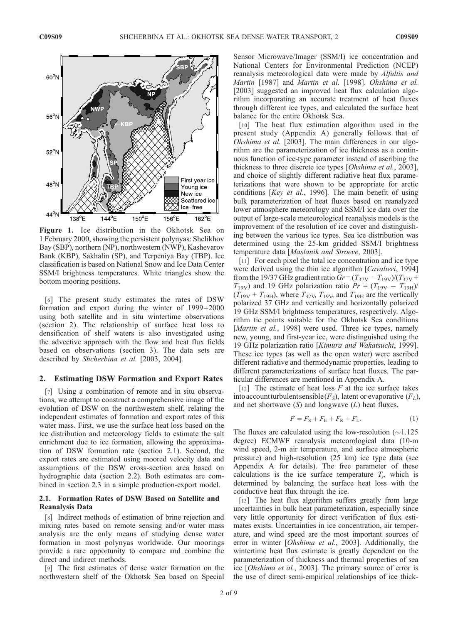

Figure 1. Ice distribution in the Okhotsk Sea on 1 February 2000, showing the persistent polynyas: Shelikhov Bay (SBP), northern (NP), northwestern (NWP), Kashevarov Bank (KBP), Sakhalin (SP), and Terpeniya Bay (TBP). Ice classification is based on National Snow and Ice Data Center SSM/I brightness temperatures. White triangles show the bottom mooring positions.

[6] The present study estimates the rates of DSW formation and export during the winter of 1999 – 2000 using both satellite and in situ wintertime observations (section 2). The relationship of surface heat loss to densification of shelf waters is also investigated using the advective approach with the flow and heat flux fields based on observations (section 3). The data sets are described by Shcherbina et al. [2003, 2004].

#### 2. Estimating DSW Formation and Export Rates

[7] Using a combination of remote and in situ observations, we attempt to construct a comprehensive image of the evolution of DSW on the northwestern shelf, relating the independent estimates of formation and export rates of this water mass. First, we use the surface heat loss based on the ice distribution and meteorology fields to estimate the salt enrichment due to ice formation, allowing the approximation of DSW formation rate (section 2.1). Second, the export rates are estimated using moored velocity data and assumptions of the DSW cross-section area based on hydrographic data (section 2.2). Both estimates are combined in section 2.3 in a simple production-export model.

## 2.1. Formation Rates of DSW Based on Satellite and Reanalysis Data

[8] Indirect methods of estimation of brine rejection and mixing rates based on remote sensing and/or water mass analysis are the only means of studying dense water formation in most polynyas worldwide. Our moorings provide a rare opportunity to compare and combine the direct and indirect methods.

[9] The first estimates of dense water formation on the northwestern shelf of the Okhotsk Sea based on Special

Sensor Microwave/Imager (SSM/I) ice concentration and National Centers for Environmental Prediction (NCEP) reanalysis meteorological data were made by Alfultis and Martin [1987] and Martin et al. [1998]. Ohshima et al. [2003] suggested an improved heat flux calculation algorithm incorporating an accurate treatment of heat fluxes through different ice types, and calculated the surface heat balance for the entire Okhotsk Sea.

[10] The heat flux estimation algorithm used in the present study (Appendix A) generally follows that of Ohshima et al. [2003]. The main differences in our algorithm are the parameterization of ice thickness as a continuous function of ice-type parameter instead of ascribing the thickness to three discrete ice types [Ohshima et al., 2003], and choice of slightly different radiative heat flux parameterizations that were shown to be appropriate for arctic conditions [Key et al., 1996]. The main benefit of using bulk parameterization of heat fluxes based on reanalyzed lower atmosphere meteorology and SSM/I ice data over the output of large-scale meteorological reanalysis models is the improvement of the resolution of ice cover and distinguishing between the various ice types. Sea ice distribution was determined using the 25-km gridded SSM/I brightness temperature data [Maslanik and Stroeve, 2003].

[11] For each pixel the total ice concentration and ice type were derived using the thin ice algorithm [Cavalieri, 1994] from the 19/37 GHz gradient ratio  $Gr = (T_{37V} - T_{19V})/(T_{37V} + T_{19V})$  $T_{19V}$ ) and 19 GHz polarization ratio  $Pr = (T_{19V} - T_{19H})/T$  $(T_{19V} + T_{19H})$ , where  $T_{37V}$ ,  $T_{19V}$ , and  $T_{19H}$  are the vertically polarized 37 GHz and vertically and horizontally polarized 19 GHz SSM/I brightness temperatures, respectively. Algorithm tie points suitable for the Okhotsk Sea conditions [*Martin et al.*, 1998] were used. Three ice types, namely new, young, and first-year ice, were distinguished using the 19 GHz polarization ratio [Kimura and Wakatsuchi, 1999]. These ice types (as well as the open water) were ascribed different radiative and thermodynamic properties, leading to different parameterizations of surface heat fluxes. The particular differences are mentioned in Appendix A.

[12] The estimate of heat loss  $F$  at the ice surface takes into account turbulent sensible  $(F<sub>S</sub>)$ , latent or evaporative  $(F<sub>L</sub>)$ , and net shortwave  $(S)$  and longwave  $(L)$  heat fluxes,

$$
F = F_{\rm S} + F_{\rm E} + F_{\rm R} + F_{\rm L}.
$$
 (1)

The fluxes are calculated using the low-resolution  $(\sim 1.125$ degree) ECMWF reanalysis meteorological data (10-m wind speed, 2-m air temperature, and surface atmospheric pressure) and high-resolution (25 km) ice type data (see Appendix A for details). The free parameter of these calculations is the ice surface temperature  $T_s$ , which is determined by balancing the surface heat loss with the conductive heat flux through the ice.

[13] The heat flux algorithm suffers greatly from large uncertainties in bulk heat parameterization, especially since very little opportunity for direct verification of flux estimates exists. Uncertainties in ice concentration, air temperature, and wind speed are the most important sources of error in winter [Ohshima et al., 2003]. Additionally, the wintertime heat flux estimate is greatly dependent on the parameterization of thickness and thermal properties of sea ice [Ohshima et al., 2003]. The primary source of error is the use of direct semi-empirical relationships of ice thick-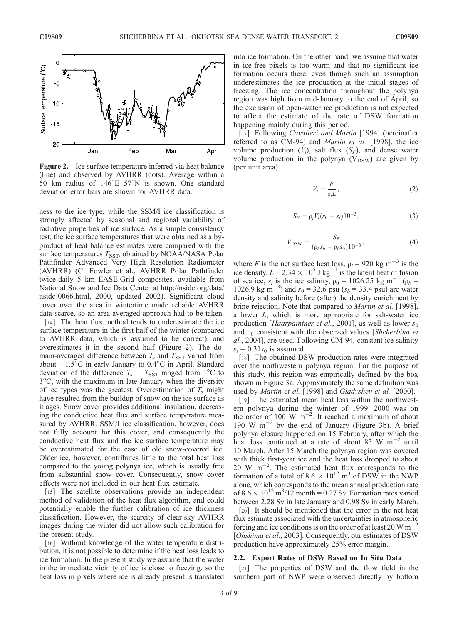

Figure 2. Ice surface temperature inferred via heat balance (line) and observed by AVHRR (dots). Average within a 50 km radius of  $146^{\circ}E$  57°N is shown. One standard deviation error bars are shown for AVHRR data.

ness to the ice type, while the SSM/I ice classification is strongly affected by seasonal and regional variability of radiative properties of ice surface. As a simple consistency test, the ice surface temperatures that were obtained as a byproduct of heat balance estimates were compared with the surface temperatures  $T_{\text{SST}}$ , obtained by NOAA/NASA Polar Pathfinder Advanced Very High Resolution Radiometer (AVHRR) (C. Fowler et al., AVHRR Polar Pathfinder twice-daily 5 km EASE-Grid composites, available from National Snow and Ice Data Center at http://nsidc.org/data/ nsidc-0066.html, 2000, updated 2002). Significant cloud cover over the area in wintertime made reliable AVHRR data scarce, so an area-averaged approach had to be taken.

[14] The heat flux method tends to underestimate the ice surface temperature in the first half of the winter (compared to AVHRR data, which is assumed to be correct), and overestimates it in the second half (Figure 2). The domain-averaged difference between  $T_s$  and  $T_{SST}$  varied from about  $-1.5^{\circ}\text{C}$  in early January to 0.4 $^{\circ}\text{C}$  in April. Standard deviation of the difference  $T_s - T_{\text{SST}}$  ranged from 1<sup>o</sup>C to 3-C, with the maximum in late January when the diversity of ice types was the greatest. Overestimation of  $T_s$  might have resulted from the buildup of snow on the ice surface as it ages. Snow cover provides additional insulation, decreasing the conductive heat flux and surface temperature measured by AVHRR. SSM/I ice classification, however, does not fully account for this cover, and consequently the conductive heat flux and the ice surface temperature may be overestimated for the case of old snow-covered ice. Older ice, however, contributes little to the total heat loss compared to the young polynya ice, which is usually free from substantial snow cover. Consequently, snow cover effects were not included in our heat flux estimate.

[15] The satellite observations provide an independent method of validation of the heat flux algorithm, and could potentially enable the further calibration of ice thickness classification. However, the scarcity of clear-sky AVHRR images during the winter did not allow such calibration for the present study.

[16] Without knowledge of the water temperature distribution, it is not possible to determine if the heat loss leads to ice formation. In the present study we assume that the water in the immediate vicinity of ice is close to freezing, so the heat loss in pixels where ice is already present is translated into ice formation. On the other hand, we assume that water in ice-free pixels is too warm and that no significant ice formation occurs there, even though such an assumption underestimates the ice production at the initial stages of freezing. The ice concentration throughout the polynya region was high from mid-January to the end of April, so the exclusion of open-water ice production is not expected to affect the estimate of the rate of DSW formation happening mainly during this period.

[17] Following Cavalieri and Martin [1994] (hereinafter referred to as CM-94) and Martin et al. [1998], the ice volume production  $(V_i)$ , salt flux  $(S_F)$ , and dense water volume production in the polynya  $(V_{DSW})$  are given by (per unit area)

$$
V_i = \frac{F}{\rho_i L},\tag{2}
$$

$$
S_F = \rho_i V_i (s_0 - s_i) 10^{-3}, \tag{3}
$$

$$
V_{\text{DSW}} = \frac{S_F}{(\rho_b s_b - \rho_0 s_0) 10^{-3}},\tag{4}
$$

where F is the net surface heat loss,  $\rho_i = 920 \text{ kg m}^{-3}$  is the ice density,  $L = 2.34 \times 10^5$  J kg<sup>-1</sup> is the latent heat of fusion of sea ice,  $s_i$  is the ice salinity,  $\rho_0 = 1026.25$  kg m<sup>-3</sup> ( $\rho_b$  = 1026.9 kg m<sup>-3</sup>) and  $s_0 = 32.6$  psu ( $s_b = 33.4$  psu) are water density and salinity before (after) the density enrichment by brine rejection. Note that compared to *Martin et al.* [1998], a lower L, which is more appropriate for salt-water ice production [Haarpaintner et al., 2001], as well as lower  $s_0$ and  $\rho_0$  consistent with the observed values [Shcherbina et al., 2004], are used. Following CM-94, constant ice salinity  $s_i = 0.31s_0$  is assumed.

[18] The obtained DSW production rates were integrated over the northwestern polynya region. For the purpose of this study, this region was empirically defined by the box shown in Figure 3a. Approximately the same definition was used by Martin et al. [1998] and Gladyshev et al. [2000].

[19] The estimated mean heat loss within the northwestern polynya during the winter of 1999–2000 was on the order of 100 W  $\text{m}^{-2}$ . It reached a maximum of about 190 W  $m^{-2}$  by the end of January (Figure 3b). A brief polynya closure happened on 15 February, after which the heat loss continued at a rate of about  $85 \text{ W m}^{-2}$  until 10 March. After 15 March the polynya region was covered with thick first-year ice and the heat loss dropped to about  $20 \text{ W m}^{-2}$ . The estimated heat flux corresponds to the formation of a total of  $8.6 \times 10^{12}$  m<sup>3</sup> of DSW in the NWP alone, which corresponds to the mean annual production rate of  $8.6 \times 10^{12}$  m<sup>3</sup>/12 month = 0.27 Sv. Formation rates varied between 2.28 Sv in late January and 0.98 Sv in early March.

[20] It should be mentioned that the error in the net heat flux estimate associated with the uncertainties in atmospheric forcing and ice conditions is on the order of at least 20  $\rm \dot{W} \, m^{-2}$ [Ohshima et al., 2003]. Consequently, our estimates of DSW production have approximately 25% error margin.

#### 2.2. Export Rates of DSW Based on In Situ Data

[21] The properties of DSW and the flow field in the southern part of NWP were observed directly by bottom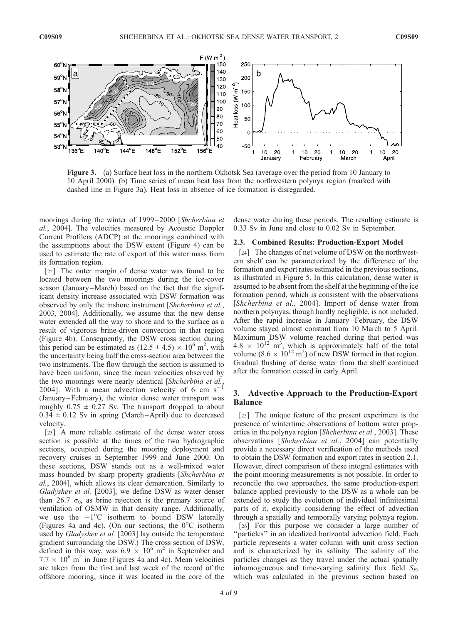

Figure 3. (a) Surface heat loss in the northern Okhotsk Sea (average over the period from 10 January to 10 April 2000). (b) Time series of mean heat loss from the northwestern polynya region (marked with dashed line in Figure 3a). Heat loss in absence of ice formation is disregarded.

moorings during the winter of 1999 – 2000 [Shcherbina et al., 2004]. The velocities measured by Acoustic Doppler Current Profilers (ADCP) at the moorings combined with the assumptions about the DSW extent (Figure 4) can be used to estimate the rate of export of this water mass from its formation region.

[22] The outer margin of dense water was found to be located between the two moorings during the ice-cover season (January–March) based on the fact that the significant density increase associated with DSW formation was observed by only the inshore instrument [Shcherbina et al., 2003, 2004]. Additionally, we assume that the new dense water extended all the way to shore and to the surface as a result of vigorous brine-driven convection in that region (Figure 4b). Consequently, the DSW cross section during this period can be estimated as  $(12.5 \pm 4.5) \times 10^6$  m<sup>2</sup>, with the uncertainty being half the cross-section area between the two instruments. The flow through the section is assumed to have been uniform, since the mean velocities observed by the two moorings were nearly identical [Shcherbina et al., 2004]. With a mean advection velocity of 6 cm  $s^{-1}$ (January –February), the winter dense water transport was roughly  $0.75 \pm 0.27$  Sv. The transport dropped to about  $0.34 \pm 0.12$  Sv in spring (March-April) due to decreased velocity.

[23] A more reliable estimate of the dense water cross section is possible at the times of the two hydrographic sections, occupied during the mooring deployment and recovery cruises in September 1999 and June 2000. On these sections, DSW stands out as a well-mixed water mass bounded by sharp property gradients [Shcherbina et al., 2004], which allows its clear demarcation. Similarly to Gladyshev et al. [2003], we define DSW as water denser than 26.7  $\sigma_{\theta}$ , as brine rejection is the primary source of ventilation of OSMW in that density range. Additionally, we use the  $-1$ <sup>o</sup>C isotherm to bound DSW laterally (Figures 4a and 4c). (On our sections, the  $0^{\circ}$ C isotherm used by Gladyshev et al. [2003] lay outside the temperature gradient surrounding the DSW.) The cross section of DSW, defined in this way, was  $6.9 \times 10^6$  m<sup>2</sup> in September and  $7.7 \times 10^6$  m<sup>2</sup> in June (Figures 4a and 4c). Mean velocities are taken from the first and last week of the record of the offshore mooring, since it was located in the core of the

dense water during these periods. The resulting estimate is 0.33 Sv in June and close to 0.02 Sv in September.

#### 2.3. Combined Results: Production-Export Model

[24] The changes of net volume of DSW on the northwestern shelf can be parameterized by the difference of the formation and export rates estimated in the previous sections, as illustrated in Figure 5. In this calculation, dense water is assumed to be absent from the shelf at the beginning of the ice formation period, which is consistent with the observations [Shcherbina et al., 2004]. Import of dense water from northern polynyas, though hardly negligible, is not included. After the rapid increase in January –February, the DSW volume stayed almost constant from 10 March to 5 April. Maximum DSW volume reached during that period was  $4.8 \times 10^{12}$  m<sup>3</sup>, which is approximately half of the total volume  $(8.6 \times 10^{12} \text{ m}^3)$  of new DSW formed in that region. Gradual flushing of dense water from the shelf continued after the formation ceased in early April.

## 3. Advective Approach to the Production-Export Balance

[25] The unique feature of the present experiment is the presence of wintertime observations of bottom water properties in the polynya region [Shcherbina et al., 2003]. These observations [Shcherbina et al., 2004] can potentially provide a necessary direct verification of the methods used to obtain the DSW formation and export rates in section 2.1. However, direct comparison of these integral estimates with the point mooring measurements is not possible. In order to reconcile the two approaches, the same production-export balance applied previously to the DSW as a whole can be extended to study the evolution of individual infinitesimal parts of it, explicitly considering the effect of advection through a spatially and temporally varying polynya region.

[26] For this purpose we consider a large number of ''particles'' in an idealized horizontal advection field. Each particle represents a water column with unit cross section and is characterized by its salinity. The salinity of the particles changes as they travel under the actual spatially inhomogeneous and time-varying salinity flux field  $S_F$ , which was calculated in the previous section based on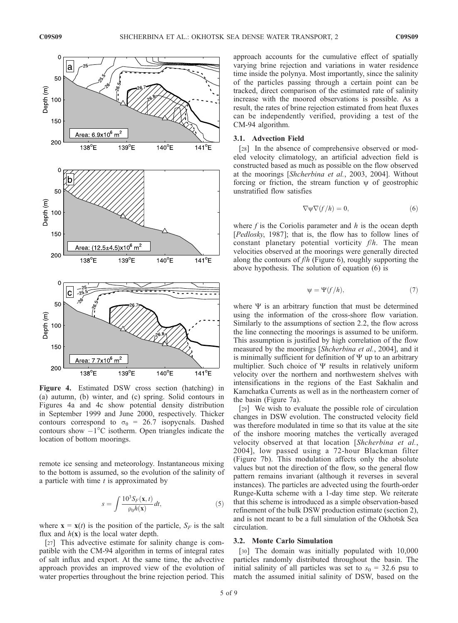

Figure 4. Estimated DSW cross section (hatching) in (a) autumn, (b) winter, and (c) spring. Solid contours in Figures 4a and 4c show potential density distribution in September 1999 and June 2000, respectively. Thicker contours correspond to  $\sigma_{\theta} = 26.7$  isopycnals. Dashed contours show  $-1^{\circ}$ C isotherm. Open triangles indicate the location of bottom moorings.

remote ice sensing and meteorology. Instantaneous mixing to the bottom is assumed, so the evolution of the salinity of a particle with time  $t$  is approximated by

$$
s = \int \frac{10^3 S_F(\mathbf{x}, t)}{\rho_0 h(\mathbf{x})} dt, \tag{5}
$$

where  $\mathbf{x} = \mathbf{x}(t)$  is the position of the particle,  $S_F$  is the salt flux and  $h(x)$  is the local water depth.

[27] This advective estimate for salinity change is compatible with the CM-94 algorithm in terms of integral rates of salt influx and export. At the same time, the advective approach provides an improved view of the evolution of water properties throughout the brine rejection period. This

approach accounts for the cumulative effect of spatially varying brine rejection and variations in water residence time inside the polynya. Most importantly, since the salinity of the particles passing through a certain point can be tracked, direct comparison of the estimated rate of salinity increase with the moored observations is possible. As a result, the rates of brine rejection estimated from heat fluxes can be independently verified, providing a test of the CM-94 algorithm.

#### 3.1. Advection Field

[28] In the absence of comprehensive observed or modeled velocity climatology, an artificial advection field is constructed based as much as possible on the flow observed at the moorings [Shcherbina et al., 2003, 2004]. Without forcing or friction, the stream function  $\psi$  of geostrophic unstratified flow satisfies

$$
\nabla \psi \nabla (f/h) = 0,\t(6)
$$

where  $f$  is the Coriolis parameter and  $h$  is the ocean depth [Pedlosky, 1987]; that is, the flow has to follow lines of constant planetary potential vorticity  $f/h$ . The mean velocities observed at the moorings were generally directed along the contours of  $f/h$  (Figure 6), roughly supporting the above hypothesis. The solution of equation (6) is

$$
\Psi = \Psi(f/h),\tag{7}
$$

where  $\Psi$  is an arbitrary function that must be determined using the information of the cross-shore flow variation. Similarly to the assumptions of section 2.2, the flow across the line connecting the moorings is assumed to be uniform. This assumption is justified by high correlation of the flow measured by the moorings [Shcherbina et al., 2004], and it is minimally sufficient for definition of  $\Psi$  up to an arbitrary multiplier. Such choice of  $\Psi$  results in relatively uniform velocity over the northern and northwestern shelves with intensifications in the regions of the East Sakhalin and Kamchatka Currents as well as in the northeastern corner of the basin (Figure 7a).

[29] We wish to evaluate the possible role of circulation changes in DSW evolution. The constructed velocity field was therefore modulated in time so that its value at the site of the inshore mooring matches the vertically averaged velocity observed at that location [Shcherbina et al., 2004], low passed using a 72-hour Blackman filter (Figure 7b). This modulation affects only the absolute values but not the direction of the flow, so the general flow pattern remains invariant (although it reverses in several instances). The particles are advected using the fourth-order Runge-Kutta scheme with a 1-day time step. We reiterate that this scheme is introduced as a simple observation-based refinement of the bulk DSW production estimate (section 2), and is not meant to be a full simulation of the Okhotsk Sea circulation.

### 3.2. Monte Carlo Simulation

[30] The domain was initially populated with 10,000 particles randomly distributed throughout the basin. The initial salinity of all particles was set to  $s_0 = 32.6$  psu to match the assumed initial salinity of DSW, based on the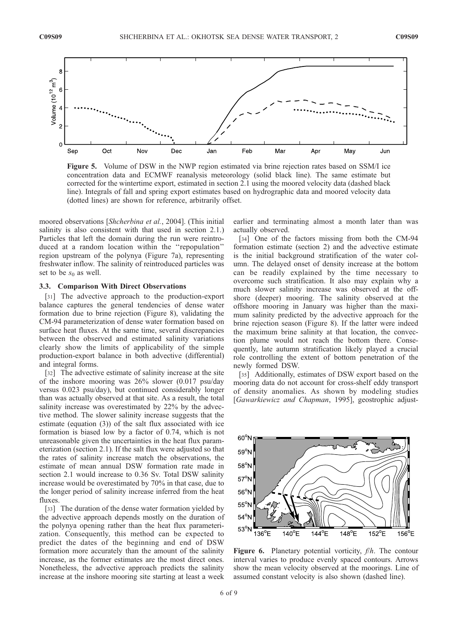

Figure 5. Volume of DSW in the NWP region estimated via brine rejection rates based on SSM/I ice concentration data and ECMWF reanalysis meteorology (solid black line). The same estimate but corrected for the wintertime export, estimated in section 2.1 using the moored velocity data (dashed black line). Integrals of fall and spring export estimates based on hydrographic data and moored velocity data (dotted lines) are shown for reference, arbitrarily offset.

moored observations [Shcherbina et al., 2004]. (This initial salinity is also consistent with that used in section 2.1.) Particles that left the domain during the run were reintroduced at a random location within the ''repopulation'' region upstream of the polynya (Figure 7a), representing freshwater inflow. The salinity of reintroduced particles was set to be  $s_0$  as well.

### 3.3. Comparison With Direct Observations

[31] The advective approach to the production-export balance captures the general tendencies of dense water formation due to brine rejection (Figure 8), validating the CM-94 parameterization of dense water formation based on surface heat fluxes. At the same time, several discrepancies between the observed and estimated salinity variations clearly show the limits of applicability of the simple production-export balance in both advective (differential) and integral forms.

[32] The advective estimate of salinity increase at the site of the inshore mooring was 26% slower (0.017 psu/day versus 0.023 psu/day), but continued considerably longer than was actually observed at that site. As a result, the total salinity increase was overestimated by 22% by the advective method. The slower salinity increase suggests that the estimate (equation (3)) of the salt flux associated with ice formation is biased low by a factor of 0.74, which is not unreasonable given the uncertainties in the heat flux parameterization (section 2.1). If the salt flux were adjusted so that the rates of salinity increase match the observations, the estimate of mean annual DSW formation rate made in section 2.1 would increase to 0.36 Sv. Total DSW salinity increase would be overestimated by 70% in that case, due to the longer period of salinity increase inferred from the heat fluxes.

[33] The duration of the dense water formation yielded by the advective approach depends mostly on the duration of the polynya opening rather than the heat flux parameterization. Consequently, this method can be expected to predict the dates of the beginning and end of DSW formation more accurately than the amount of the salinity increase, as the former estimates are the most direct ones. Nonetheless, the advective approach predicts the salinity increase at the inshore mooring site starting at least a week

earlier and terminating almost a month later than was actually observed.

[34] One of the factors missing from both the CM-94 formation estimate (section 2) and the advective estimate is the initial background stratification of the water column. The delayed onset of density increase at the bottom can be readily explained by the time necessary to overcome such stratification. It also may explain why a much slower salinity increase was observed at the offshore (deeper) mooring. The salinity observed at the offshore mooring in January was higher than the maximum salinity predicted by the advective approach for the brine rejection season (Figure 8). If the latter were indeed the maximum brine salinity at that location, the convection plume would not reach the bottom there. Consequently, late autumn stratification likely played a crucial role controlling the extent of bottom penetration of the newly formed DSW.

[35] Additionally, estimates of DSW export based on the mooring data do not account for cross-shelf eddy transport of density anomalies. As shown by modeling studies [Gawarkiewicz and Chapman, 1995], geostrophic adjust-



Figure 6. Planetary potential vorticity,  $f/h$ . The contour interval varies to produce evenly spaced contours. Arrows show the mean velocity observed at the moorings. Line of assumed constant velocity is also shown (dashed line).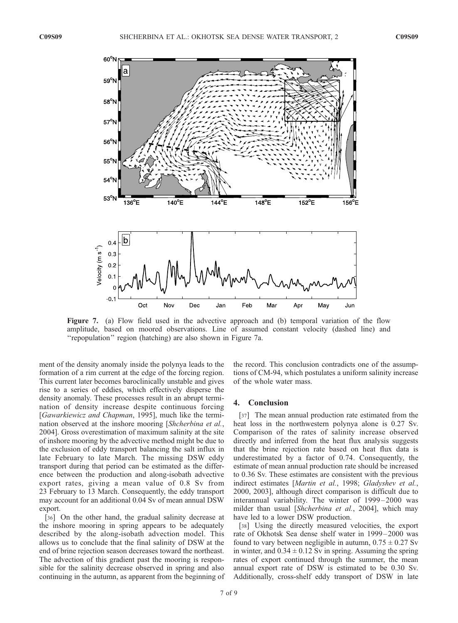

Figure 7. (a) Flow field used in the advective approach and (b) temporal variation of the flow amplitude, based on moored observations. Line of assumed constant velocity (dashed line) and ''repopulation'' region (hatching) are also shown in Figure 7a.

ment of the density anomaly inside the polynya leads to the formation of a rim current at the edge of the forcing region. This current later becomes baroclinically unstable and gives rise to a series of eddies, which effectively disperse the density anomaly. These processes result in an abrupt termination of density increase despite continuous forcing [Gawarkiewicz and Chapman, 1995], much like the termination observed at the inshore mooring [Shcherbina et al., 2004]. Gross overestimation of maximum salinity at the site of inshore mooring by the advective method might be due to the exclusion of eddy transport balancing the salt influx in late February to late March. The missing DSW eddy transport during that period can be estimated as the difference between the production and along-isobath advective export rates, giving a mean value of 0.8 Sv from 23 February to 13 March. Consequently, the eddy transport may account for an additional 0.04 Sv of mean annual DSW export.

[36] On the other hand, the gradual salinity decrease at the inshore mooring in spring appears to be adequately described by the along-isobath advection model. This allows us to conclude that the final salinity of DSW at the end of brine rejection season decreases toward the northeast. The advection of this gradient past the mooring is responsible for the salinity decrease observed in spring and also continuing in the autumn, as apparent from the beginning of the record. This conclusion contradicts one of the assumptions of CM-94, which postulates a uniform salinity increase of the whole water mass.

## 4. Conclusion

[37] The mean annual production rate estimated from the heat loss in the northwestern polynya alone is 0.27 Sv. Comparison of the rates of salinity increase observed directly and inferred from the heat flux analysis suggests that the brine rejection rate based on heat flux data is underestimated by a factor of 0.74. Consequently, the estimate of mean annual production rate should be increased to 0.36 Sv. These estimates are consistent with the previous indirect estimates [Martin et al., 1998; Gladyshev et al., 2000, 2003], although direct comparison is difficult due to interannual variability. The winter of 1999 – 2000 was milder than usual [Shcherbina et al., 2004], which may have led to a lower DSW production.

[38] Using the directly measured velocities, the export rate of Okhotsk Sea dense shelf water in 1999 – 2000 was found to vary between negligible in autumn,  $0.75 \pm 0.27$  Sv in winter, and  $0.34 \pm 0.12$  Sv in spring. Assuming the spring rates of export continued through the summer, the mean annual export rate of DSW is estimated to be 0.30 Sv. Additionally, cross-shelf eddy transport of DSW in late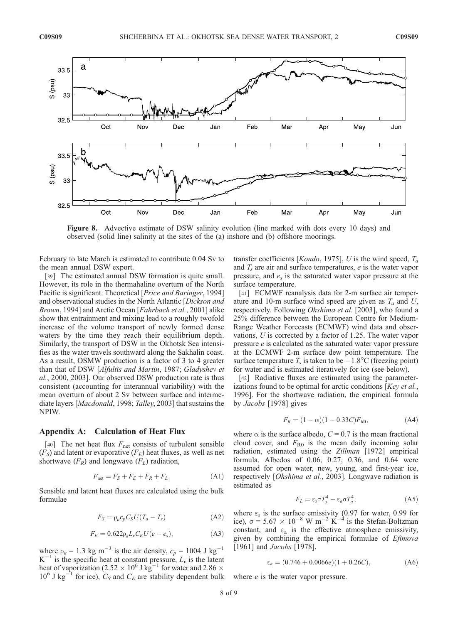

Figure 8. Advective estimate of DSW salinity evolution (line marked with dots every 10 days) and observed (solid line) salinity at the sites of the (a) inshore and (b) offshore moorings.

February to late March is estimated to contribute 0.04 Sv to the mean annual DSW export.

[39] The estimated annual DSW formation is quite small. However, its role in the thermahaline overturn of the North Pacific is significant. Theoretical [*Price and Baringer*, 1994] and observational studies in the North Atlantic [Dickson and Brown, 1994] and Arctic Ocean [Fahrbach et al., 2001] alike show that entrainment and mixing lead to a roughly twofold increase of the volume transport of newly formed dense waters by the time they reach their equilibrium depth. Similarly, the transport of DSW in the Okhotsk Sea intensifies as the water travels southward along the Sakhalin coast. As a result, OSMW production is a factor of 3 to 4 greater than that of DSW [Alfultis and Martin, 1987; Gladyshev et al., 2000, 2003]. Our observed DSW production rate is thus consistent (accounting for interannual variability) with the mean overturn of about 2 Sv between surface and intermediate layers [Macdonald, 1998; Talley, 2003] that sustains the NPIW.

#### Appendix A: Calculation of Heat Flux

[40] The net heat flux  $F_{\text{net}}$  consists of turbulent sensible  $(F<sub>S</sub>)$  and latent or evaporative  $(F<sub>E</sub>)$  heat fluxes, as well as net shortwave  $(F_R)$  and longwave  $(F_L)$  radiation,

$$
F_{\text{net}} = F_S + F_E + F_R + F_L. \tag{A1}
$$

Sensible and latent heat fluxes are calculated using the bulk formulae

$$
F_S = \rho_a c_p C_S U (T_a - T_s) \tag{A2}
$$

$$
F_E = 0.622 \rho_a L_v C_E U (e - e_s), \tag{A3}
$$

where  $\rho_a = 1.3 \text{ kg m}^{-3}$  is the air density,  $c_p = 1004 \text{ J kg}^{-1}$  $K^{-1}$  is the specific heat at constant pressure,  $L_{\nu}$  is the latent heat of vaporization (2.52  $\times$  10<sup>6</sup> J kg<sup>-1</sup> for water and 2.86  $\times$  $10^6$  J kg<sup>-1</sup> for ice),  $C_S$  and  $C_E$  are stability dependent bulk transfer coefficients [*Kondo*, 1975], U is the wind speed,  $T_a$ and  $T<sub>s</sub>$  are air and surface temperatures,  $e$  is the water vapor pressure, and  $e_s$  is the saturated water vapor pressure at the surface temperature.

[41] ECMWF reanalysis data for 2-m surface air temperature and 10-m surface wind speed are given as  $T_a$  and U, respectively. Following Ohshima et al. [2003], who found a 25% difference between the European Centre for Medium-Range Weather Forecasts (ECMWF) wind data and observations, U is corrected by a factor of 1.25. The water vapor pressure e is calculated as the saturated water vapor pressure at the ECMWF 2-m surface dew point temperature. The surface temperature  $T_s$  is taken to be  $-1.8$ °C (freezing point) for water and is estimated iteratively for ice (see below).

[42] Radiative fluxes are estimated using the parameterizations found to be optimal for arctic conditions [Key et al., 1996]. For the shortwave radiation, the empirical formula by Jacobs [1978] gives

$$
F_R = (1 - \alpha)(1 - 0.33C)F_{R0},
$$
 (A4)

where  $\alpha$  is the surface albedo,  $C = 0.7$  is the mean fractional cloud cover, and  $F_{R0}$  is the mean daily incoming solar radiation, estimated using the Zillman [1972] empirical formula. Albedos of 0.06, 0.27, 0.36, and 0.64 were assumed for open water, new, young, and first-year ice, respectively [Ohshima et al., 2003]. Longwave radiation is estimated as

$$
F_L = \varepsilon_s \sigma T_s^4 - \varepsilon_a \sigma T_a^4,\tag{A5}
$$

where  $\varepsilon_s$  is the surface emissivity (0.97 for water, 0.99 for ice),  $\sigma = 5.67 \times 10^{-8}$  W m<sup>-2</sup> K<sup>-4</sup> is the Stefan-Boltzman constant, and  $\varepsilon_a$  is the effective atmosphere emissivity, given by combining the empirical formulae of Efimova [1961] and *Jacobs* [1978],

$$
\varepsilon_a = (0.746 + 0.0066e)(1 + 0.26C), \tag{A6}
$$

where *e* is the water vapor pressure.